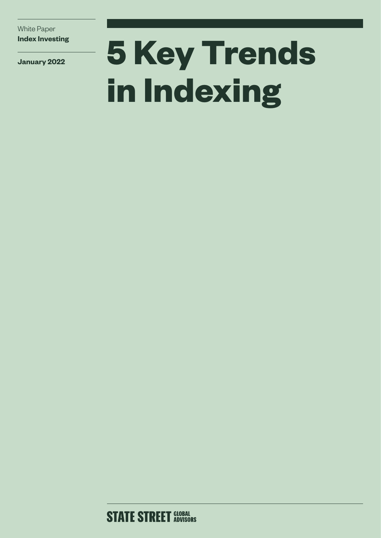White Paper **Index Investing**

**January 2022**

# **5 Key Trends in Indexing**

**STATE STREET GLOBAL**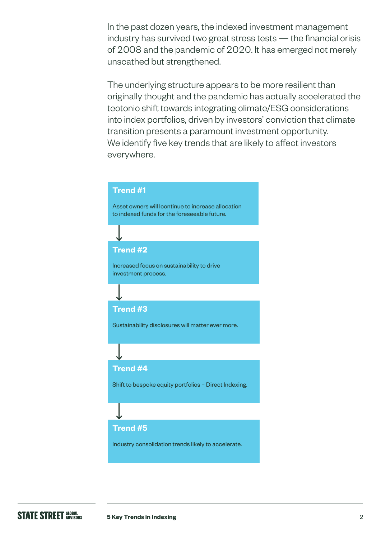In the past dozen years, the indexed investment management industry has survived two great stress tests — the financial crisis of 2008 and the pandemic of 2020. It has emerged not merely unscathed but strengthened.

The underlying structure appears to be more resilient than originally thought and the pandemic has actually accelerated the tectonic shift towards integrating climate/ESG considerations into index portfolios, driven by investors' conviction that climate transition presents a paramount investment opportunity. We identify five key trends that are likely to affect investors everywhere.

## **Trend #1**

Asset owners will lcontinue to increase allocation to indexed funds for the foreseeable future.

# **Trend #2**

Increased focus on sustainability to drive investment process.

# **Trend #3**

Sustainability disclosures will matter ever more.

## **Trend #4**

Shift to bespoke equity portfolios – Direct Indexing.

## **Trend #5**

Industry consolidation trends likely to accelerate.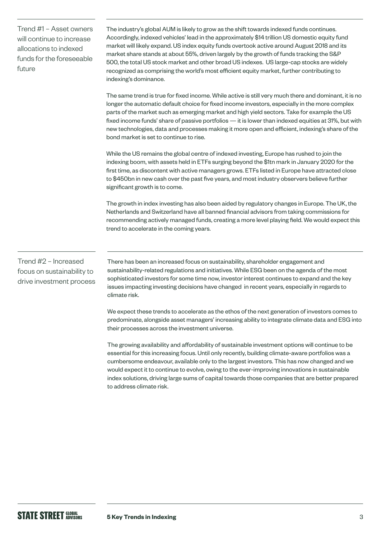Trend #1 – Asset owners will continue to increase allocations to indexed funds for the foreseeable future

The industry's global AUM is likely to grow as the shift towards indexed funds continues. Accordingly, indexed vehicles' lead in the approximately \$14 trillion US domestic equity fund market will likely expand. US index equity funds overtook active around August 2018 and its market share stands at about 55%, driven largely by the growth of funds tracking the S&P 500, the total US stock market and other broad US indexes. US large-cap stocks are widely recognized as comprising the world's most efficient equity market, further contributing to indexing's dominance.

The same trend is true for fixed income. While active is still very much there and dominant, it is no longer the automatic default choice for fixed income investors, especially in the more complex parts of the market such as emerging market and high yield sectors. Take for example the US fixed income funds' share of passive portfolios — it is lower than indexed equities at 31%, but with new technologies, data and processes making it more open and efficient, indexing's share of the bond market is set to continue to rise.

While the US remains the global centre of indexed investing, Europe has rushed to join the indexing boom, with assets held in ETFs surging beyond the \$1tn mark in January 2020 for the first time, as discontent with active managers grows. ETFs listed in Europe have attracted close to \$450bn in new cash over the past five years, and most industry observers believe further significant growth is to come.

The growth in index investing has also been aided by regulatory changes in Europe. The UK, the Netherlands and Switzerland have all banned financial advisors from taking commissions for recommending actively managed funds, creating a more level playing field. We would expect this trend to accelerate in the coming years.

Trend #2 – Increased focus on sustainability to drive investment process

There has been an increased focus on sustainability, shareholder engagement and sustainability-related regulations and initiatives. While ESG been on the agenda of the most sophisticated investors for some time now, investor interest continues to expand and the key issues impacting investing decisions have changed in recent years, especially in regards to climate risk.

We expect these trends to accelerate as the ethos of the next generation of investors comes to predominate, alongside asset managers' increasing ability to integrate climate data and ESG into their processes across the investment universe.

The growing availability and affordability of sustainable investment options will continue to be essential for this increasing focus. Until only recently, building climate-aware portfolios was a cumbersome endeavour, available only to the largest investors. This has now changed and we would expect it to continue to evolve, owing to the ever-improving innovations in sustainable index solutions, driving large sums of capital towards those companies that are better prepared to address climate risk.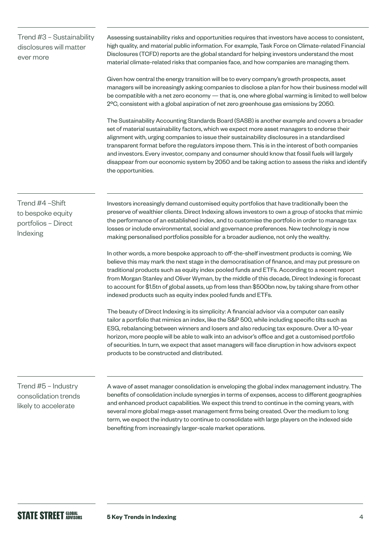# Trend #3 – Sustainability disclosures will matter ever more

Assessing sustainability risks and opportunities requires that investors have access to consistent, high quality, and material public information. For example, Task Force on Climate-related Financial Disclosures (TCFD) reports are the global standard for helping investors understand the most material climate-related risks that companies face, and how companies are managing them.

Given how central the energy transition will be to every company's growth prospects, asset managers will be increasingly asking companies to disclose a plan for how their business model will be compatible with a net zero economy — that is, one where global warming is limited to well below 2ºC, consistent with a global aspiration of net zero greenhouse gas emissions by 2050.

The Sustainability Accounting Standards Board (SASB) is another example and covers a broader set of material sustainability factors, which we expect more asset managers to endorse their alignment with, urging companies to issue their sustainability disclosures in a standardised transparent format before the regulators impose them. This is in the interest of both companies and investors. Every investor, company and consumer should know that fossil fuels will largely disappear from our economic system by 2050 and be taking action to assess the risks and identify the opportunities.

# Trend #4 –Shift to bespoke equity portfolios – Direct Indexing

Investors increasingly demand customised equity portfolios that have traditionally been the preserve of wealthier clients. Direct Indexing allows investors to own a group of stocks that mimic the performance of an established index, and to customise the portfolio in order to manage tax losses or include environmental, social and governance preferences. New technology is now making personalised portfolios possible for a broader audience, not only the wealthy.

In other words, a more bespoke approach to off-the-shelf investment products is coming. We believe this may mark the next stage in the democratisation of finance, and may put pressure on traditional products such as equity index pooled funds and ETFs. According to a recent report from Morgan Stanley and Oliver Wyman, by the middle of this decade, Direct Indexing is forecast to account for \$1.5tn of global assets, up from less than \$500bn now, by taking share from other indexed products such as equity index pooled funds and ETFs.

The beauty of Direct Indexing is its simplicity: A financial advisor via a computer can easily tailor a portfolio that mimics an index, like the S&P 500, while including specific tilts such as ESG, rebalancing between winners and losers and also reducing tax exposure. Over a 10-year horizon, more people will be able to walk into an advisor's office and get a customised portfolio of securities. In turn, we expect that asset managers will face disruption in how advisors expect products to be constructed and distributed.

# Trend #5 – Industry consolidation trends likely to accelerate

A wave of asset manager consolidation is enveloping the global index management industry. The benefits of consolidation include synergies in terms of expenses, access to different geographies and enhanced product capabilities. We expect this trend to continue in the coming years, with several more global mega-asset management firms being created. Over the medium to long term, we expect the industry to continue to consolidate with large players on the indexed side benefiting from increasingly larger-scale market operations.